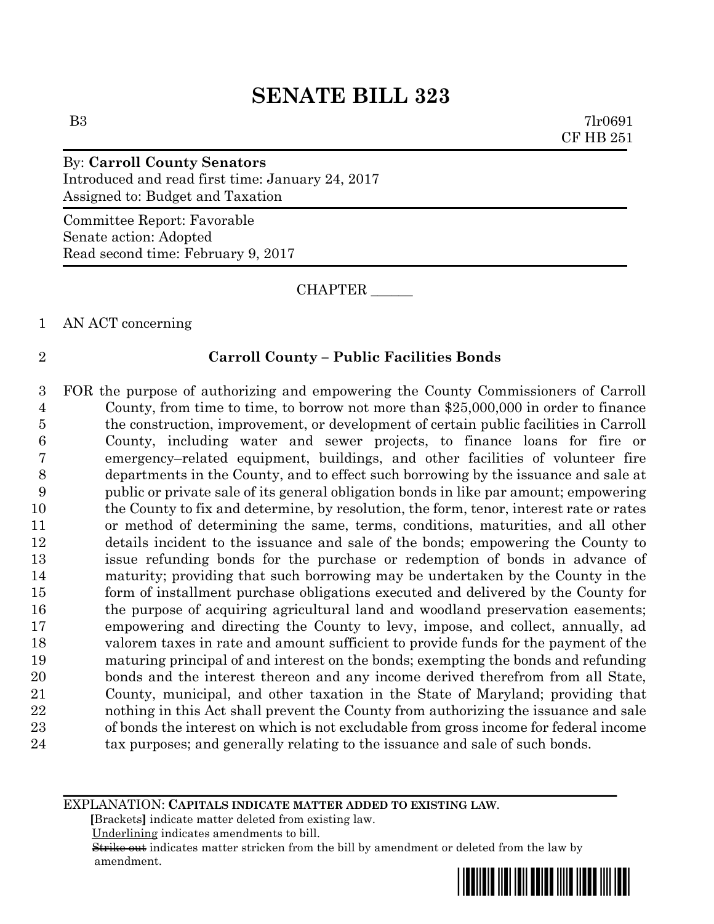B3 7lr0691 CF HB 251

# By: **Carroll County Senators** Introduced and read first time: January 24, 2017 Assigned to: Budget and Taxation

Committee Report: Favorable Senate action: Adopted Read second time: February 9, 2017

CHAPTER \_\_\_\_\_\_

# 1 AN ACT concerning

# 2 **Carroll County – Public Facilities Bonds**

 FOR the purpose of authorizing and empowering the County Commissioners of Carroll County, from time to time, to borrow not more than \$25,000,000 in order to finance the construction, improvement, or development of certain public facilities in Carroll County, including water and sewer projects, to finance loans for fire or emergency–related equipment, buildings, and other facilities of volunteer fire departments in the County, and to effect such borrowing by the issuance and sale at public or private sale of its general obligation bonds in like par amount; empowering the County to fix and determine, by resolution, the form, tenor, interest rate or rates or method of determining the same, terms, conditions, maturities, and all other details incident to the issuance and sale of the bonds; empowering the County to issue refunding bonds for the purchase or redemption of bonds in advance of maturity; providing that such borrowing may be undertaken by the County in the form of installment purchase obligations executed and delivered by the County for the purpose of acquiring agricultural land and woodland preservation easements; empowering and directing the County to levy, impose, and collect, annually, ad valorem taxes in rate and amount sufficient to provide funds for the payment of the maturing principal of and interest on the bonds; exempting the bonds and refunding bonds and the interest thereon and any income derived therefrom from all State, County, municipal, and other taxation in the State of Maryland; providing that nothing in this Act shall prevent the County from authorizing the issuance and sale of bonds the interest on which is not excludable from gross income for federal income 24 tax purposes; and generally relating to the issuance and sale of such bonds.

### EXPLANATION: **CAPITALS INDICATE MATTER ADDED TO EXISTING LAW**.

 **[**Brackets**]** indicate matter deleted from existing law.

Underlining indicates amendments to bill.

 Strike out indicates matter stricken from the bill by amendment or deleted from the law by amendment.

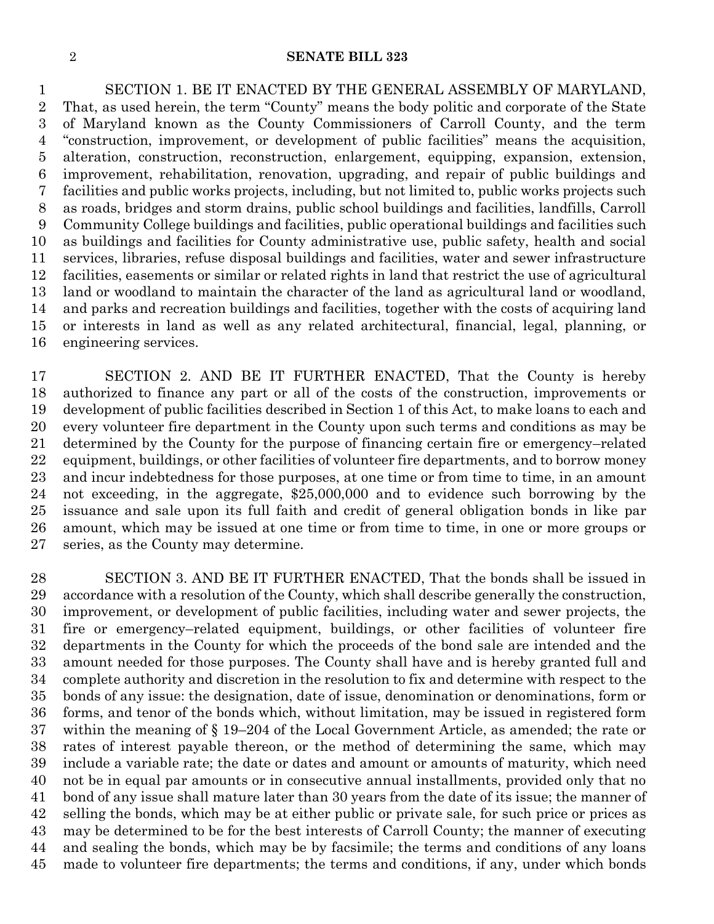SECTION 1. BE IT ENACTED BY THE GENERAL ASSEMBLY OF MARYLAND, That, as used herein, the term "County" means the body politic and corporate of the State of Maryland known as the County Commissioners of Carroll County, and the term "construction, improvement, or development of public facilities" means the acquisition, alteration, construction, reconstruction, enlargement, equipping, expansion, extension, improvement, rehabilitation, renovation, upgrading, and repair of public buildings and facilities and public works projects, including, but not limited to, public works projects such as roads, bridges and storm drains, public school buildings and facilities, landfills, Carroll Community College buildings and facilities, public operational buildings and facilities such as buildings and facilities for County administrative use, public safety, health and social services, libraries, refuse disposal buildings and facilities, water and sewer infrastructure facilities, easements or similar or related rights in land that restrict the use of agricultural land or woodland to maintain the character of the land as agricultural land or woodland, and parks and recreation buildings and facilities, together with the costs of acquiring land or interests in land as well as any related architectural, financial, legal, planning, or engineering services.

 SECTION 2. AND BE IT FURTHER ENACTED, That the County is hereby authorized to finance any part or all of the costs of the construction, improvements or development of public facilities described in Section 1 of this Act, to make loans to each and every volunteer fire department in the County upon such terms and conditions as may be determined by the County for the purpose of financing certain fire or emergency–related equipment, buildings, or other facilities of volunteer fire departments, and to borrow money and incur indebtedness for those purposes, at one time or from time to time, in an amount not exceeding, in the aggregate, \$25,000,000 and to evidence such borrowing by the issuance and sale upon its full faith and credit of general obligation bonds in like par amount, which may be issued at one time or from time to time, in one or more groups or series, as the County may determine.

 SECTION 3. AND BE IT FURTHER ENACTED, That the bonds shall be issued in accordance with a resolution of the County, which shall describe generally the construction, improvement, or development of public facilities, including water and sewer projects, the fire or emergency–related equipment, buildings, or other facilities of volunteer fire departments in the County for which the proceeds of the bond sale are intended and the amount needed for those purposes. The County shall have and is hereby granted full and complete authority and discretion in the resolution to fix and determine with respect to the bonds of any issue: the designation, date of issue, denomination or denominations, form or forms, and tenor of the bonds which, without limitation, may be issued in registered form within the meaning of § 19–204 of the Local Government Article, as amended; the rate or rates of interest payable thereon, or the method of determining the same, which may include a variable rate; the date or dates and amount or amounts of maturity, which need not be in equal par amounts or in consecutive annual installments, provided only that no bond of any issue shall mature later than 30 years from the date of its issue; the manner of selling the bonds, which may be at either public or private sale, for such price or prices as may be determined to be for the best interests of Carroll County; the manner of executing and sealing the bonds, which may be by facsimile; the terms and conditions of any loans made to volunteer fire departments; the terms and conditions, if any, under which bonds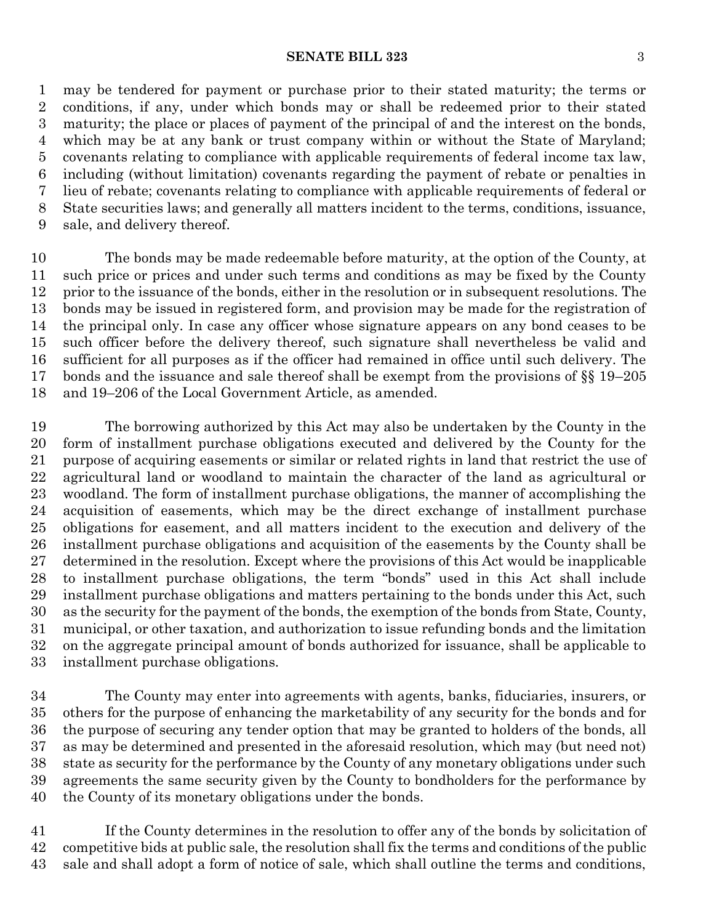#### **SENATE BILL 323** 3

 may be tendered for payment or purchase prior to their stated maturity; the terms or conditions, if any, under which bonds may or shall be redeemed prior to their stated maturity; the place or places of payment of the principal of and the interest on the bonds, which may be at any bank or trust company within or without the State of Maryland; covenants relating to compliance with applicable requirements of federal income tax law, including (without limitation) covenants regarding the payment of rebate or penalties in lieu of rebate; covenants relating to compliance with applicable requirements of federal or State securities laws; and generally all matters incident to the terms, conditions, issuance, sale, and delivery thereof.

 The bonds may be made redeemable before maturity, at the option of the County, at such price or prices and under such terms and conditions as may be fixed by the County prior to the issuance of the bonds, either in the resolution or in subsequent resolutions. The bonds may be issued in registered form, and provision may be made for the registration of the principal only. In case any officer whose signature appears on any bond ceases to be such officer before the delivery thereof, such signature shall nevertheless be valid and sufficient for all purposes as if the officer had remained in office until such delivery. The bonds and the issuance and sale thereof shall be exempt from the provisions of §§ 19–205 and 19–206 of the Local Government Article, as amended.

 The borrowing authorized by this Act may also be undertaken by the County in the form of installment purchase obligations executed and delivered by the County for the purpose of acquiring easements or similar or related rights in land that restrict the use of agricultural land or woodland to maintain the character of the land as agricultural or woodland. The form of installment purchase obligations, the manner of accomplishing the acquisition of easements, which may be the direct exchange of installment purchase obligations for easement, and all matters incident to the execution and delivery of the installment purchase obligations and acquisition of the easements by the County shall be determined in the resolution. Except where the provisions of this Act would be inapplicable to installment purchase obligations, the term "bonds" used in this Act shall include installment purchase obligations and matters pertaining to the bonds under this Act, such as the security for the payment of the bonds, the exemption of the bonds from State, County, municipal, or other taxation, and authorization to issue refunding bonds and the limitation on the aggregate principal amount of bonds authorized for issuance, shall be applicable to installment purchase obligations.

 The County may enter into agreements with agents, banks, fiduciaries, insurers, or others for the purpose of enhancing the marketability of any security for the bonds and for the purpose of securing any tender option that may be granted to holders of the bonds, all as may be determined and presented in the aforesaid resolution, which may (but need not) state as security for the performance by the County of any monetary obligations under such agreements the same security given by the County to bondholders for the performance by the County of its monetary obligations under the bonds.

 If the County determines in the resolution to offer any of the bonds by solicitation of competitive bids at public sale, the resolution shall fix the terms and conditions of the public sale and shall adopt a form of notice of sale, which shall outline the terms and conditions,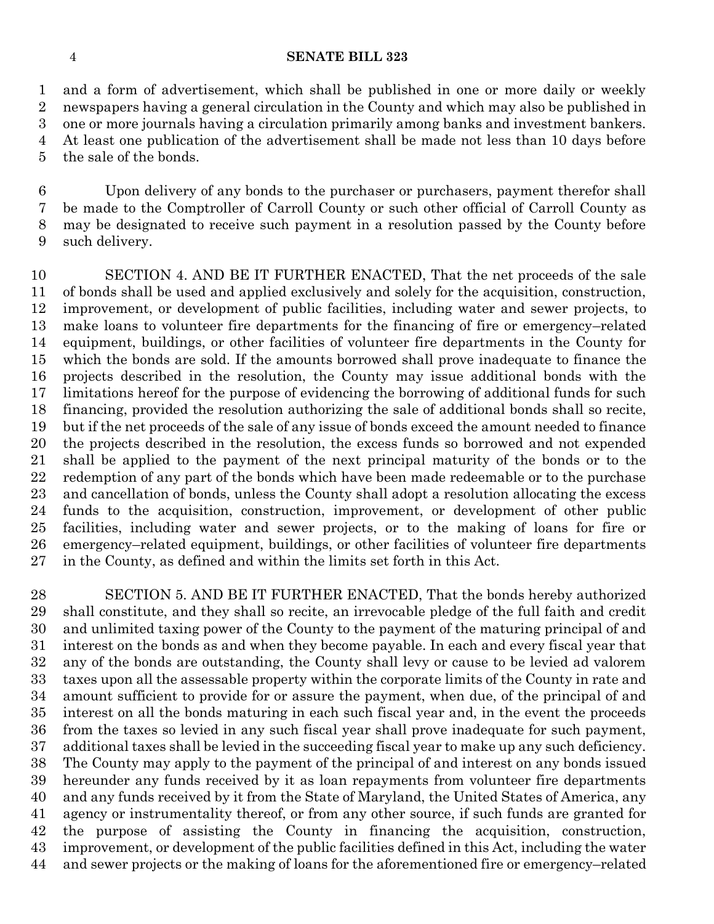and a form of advertisement, which shall be published in one or more daily or weekly newspapers having a general circulation in the County and which may also be published in one or more journals having a circulation primarily among banks and investment bankers. At least one publication of the advertisement shall be made not less than 10 days before the sale of the bonds.

 Upon delivery of any bonds to the purchaser or purchasers, payment therefor shall be made to the Comptroller of Carroll County or such other official of Carroll County as may be designated to receive such payment in a resolution passed by the County before such delivery.

 SECTION 4. AND BE IT FURTHER ENACTED, That the net proceeds of the sale of bonds shall be used and applied exclusively and solely for the acquisition, construction, improvement, or development of public facilities, including water and sewer projects, to make loans to volunteer fire departments for the financing of fire or emergency–related equipment, buildings, or other facilities of volunteer fire departments in the County for which the bonds are sold. If the amounts borrowed shall prove inadequate to finance the projects described in the resolution, the County may issue additional bonds with the limitations hereof for the purpose of evidencing the borrowing of additional funds for such financing, provided the resolution authorizing the sale of additional bonds shall so recite, but if the net proceeds of the sale of any issue of bonds exceed the amount needed to finance the projects described in the resolution, the excess funds so borrowed and not expended shall be applied to the payment of the next principal maturity of the bonds or to the redemption of any part of the bonds which have been made redeemable or to the purchase and cancellation of bonds, unless the County shall adopt a resolution allocating the excess funds to the acquisition, construction, improvement, or development of other public facilities, including water and sewer projects, or to the making of loans for fire or emergency–related equipment, buildings, or other facilities of volunteer fire departments in the County, as defined and within the limits set forth in this Act.

 SECTION 5. AND BE IT FURTHER ENACTED, That the bonds hereby authorized shall constitute, and they shall so recite, an irrevocable pledge of the full faith and credit and unlimited taxing power of the County to the payment of the maturing principal of and interest on the bonds as and when they become payable. In each and every fiscal year that any of the bonds are outstanding, the County shall levy or cause to be levied ad valorem taxes upon all the assessable property within the corporate limits of the County in rate and amount sufficient to provide for or assure the payment, when due, of the principal of and interest on all the bonds maturing in each such fiscal year and, in the event the proceeds from the taxes so levied in any such fiscal year shall prove inadequate for such payment, additional taxes shall be levied in the succeeding fiscal year to make up any such deficiency. The County may apply to the payment of the principal of and interest on any bonds issued hereunder any funds received by it as loan repayments from volunteer fire departments and any funds received by it from the State of Maryland, the United States of America, any agency or instrumentality thereof, or from any other source, if such funds are granted for the purpose of assisting the County in financing the acquisition, construction, improvement, or development of the public facilities defined in this Act, including the water and sewer projects or the making of loans for the aforementioned fire or emergency–related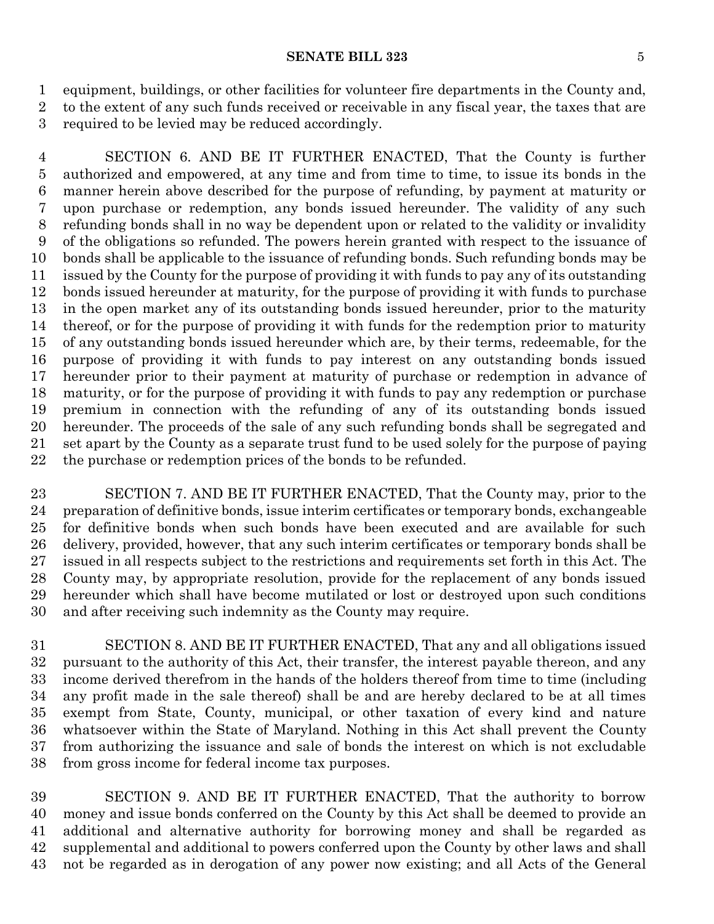equipment, buildings, or other facilities for volunteer fire departments in the County and, to the extent of any such funds received or receivable in any fiscal year, the taxes that are required to be levied may be reduced accordingly.

 SECTION 6. AND BE IT FURTHER ENACTED, That the County is further authorized and empowered, at any time and from time to time, to issue its bonds in the manner herein above described for the purpose of refunding, by payment at maturity or upon purchase or redemption, any bonds issued hereunder. The validity of any such refunding bonds shall in no way be dependent upon or related to the validity or invalidity of the obligations so refunded. The powers herein granted with respect to the issuance of bonds shall be applicable to the issuance of refunding bonds. Such refunding bonds may be issued by the County for the purpose of providing it with funds to pay any of its outstanding bonds issued hereunder at maturity, for the purpose of providing it with funds to purchase in the open market any of its outstanding bonds issued hereunder, prior to the maturity thereof, or for the purpose of providing it with funds for the redemption prior to maturity of any outstanding bonds issued hereunder which are, by their terms, redeemable, for the purpose of providing it with funds to pay interest on any outstanding bonds issued hereunder prior to their payment at maturity of purchase or redemption in advance of maturity, or for the purpose of providing it with funds to pay any redemption or purchase premium in connection with the refunding of any of its outstanding bonds issued hereunder. The proceeds of the sale of any such refunding bonds shall be segregated and set apart by the County as a separate trust fund to be used solely for the purpose of paying the purchase or redemption prices of the bonds to be refunded.

 SECTION 7. AND BE IT FURTHER ENACTED, That the County may, prior to the preparation of definitive bonds, issue interim certificates or temporary bonds, exchangeable for definitive bonds when such bonds have been executed and are available for such delivery, provided, however, that any such interim certificates or temporary bonds shall be issued in all respects subject to the restrictions and requirements set forth in this Act. The County may, by appropriate resolution, provide for the replacement of any bonds issued hereunder which shall have become mutilated or lost or destroyed upon such conditions and after receiving such indemnity as the County may require.

 SECTION 8. AND BE IT FURTHER ENACTED, That any and all obligations issued pursuant to the authority of this Act, their transfer, the interest payable thereon, and any income derived therefrom in the hands of the holders thereof from time to time (including any profit made in the sale thereof) shall be and are hereby declared to be at all times exempt from State, County, municipal, or other taxation of every kind and nature whatsoever within the State of Maryland. Nothing in this Act shall prevent the County from authorizing the issuance and sale of bonds the interest on which is not excludable from gross income for federal income tax purposes.

 SECTION 9. AND BE IT FURTHER ENACTED, That the authority to borrow money and issue bonds conferred on the County by this Act shall be deemed to provide an additional and alternative authority for borrowing money and shall be regarded as supplemental and additional to powers conferred upon the County by other laws and shall not be regarded as in derogation of any power now existing; and all Acts of the General